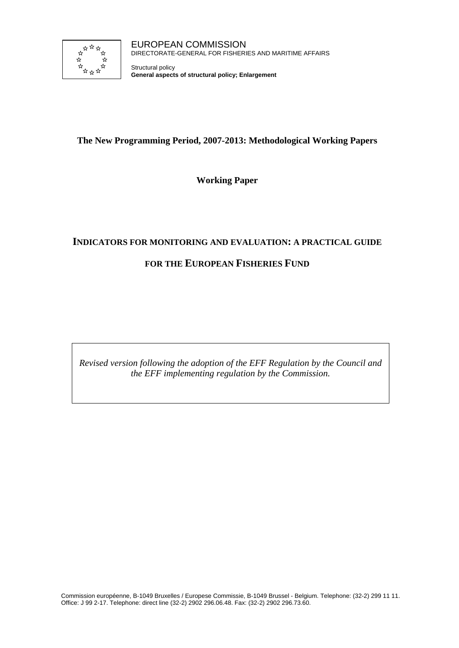

Structural policy **General aspects of structural policy; Enlargement**

# **The New Programming Period, 2007-2013: Methodological Working Papers**

**Working Paper** 

# **INDICATORS FOR MONITORING AND EVALUATION: A PRACTICAL GUIDE**

# **FOR THE EUROPEAN FISHERIES FUND**

*Revised version following the adoption of the EFF Regulation by the Council and the EFF implementing regulation by the Commission.*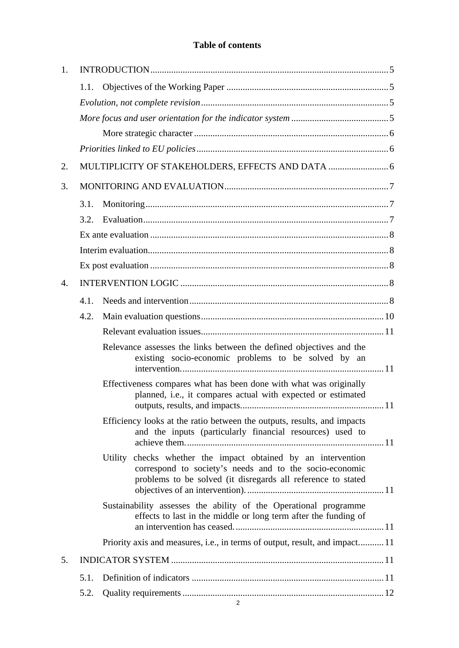# **Table of contents**

| 1. |      |                                                                                                                                                                                          |    |  |
|----|------|------------------------------------------------------------------------------------------------------------------------------------------------------------------------------------------|----|--|
|    | 1.1. |                                                                                                                                                                                          |    |  |
|    |      |                                                                                                                                                                                          |    |  |
|    |      |                                                                                                                                                                                          |    |  |
|    |      |                                                                                                                                                                                          |    |  |
|    |      |                                                                                                                                                                                          |    |  |
| 2. |      |                                                                                                                                                                                          |    |  |
| 3. |      |                                                                                                                                                                                          |    |  |
|    | 3.1. |                                                                                                                                                                                          |    |  |
|    | 3.2. |                                                                                                                                                                                          |    |  |
|    |      |                                                                                                                                                                                          |    |  |
|    |      |                                                                                                                                                                                          |    |  |
|    |      |                                                                                                                                                                                          |    |  |
| 4. |      |                                                                                                                                                                                          |    |  |
|    | 4.1. |                                                                                                                                                                                          |    |  |
|    | 4.2. |                                                                                                                                                                                          |    |  |
|    |      |                                                                                                                                                                                          |    |  |
|    |      | Relevance assesses the links between the defined objectives and the<br>existing socio-economic problems to be solved by an                                                               |    |  |
|    |      | Effectiveness compares what has been done with what was originally<br>planned, i.e., it compares actual with expected or estimated                                                       | 11 |  |
|    |      | Efficiency looks at the ratio between the outputs, results, and impacts<br>and the inputs (particularly financial resources) used to                                                     |    |  |
|    |      | Utility checks whether the impact obtained by an intervention<br>correspond to society's needs and to the socio-economic<br>problems to be solved (it disregards all reference to stated |    |  |
|    |      | Sustainability assesses the ability of the Operational programme<br>effects to last in the middle or long term after the funding of                                                      |    |  |
|    |      | Priority axis and measures, i.e., in terms of output, result, and impact 11                                                                                                              |    |  |
| 5. |      |                                                                                                                                                                                          |    |  |
|    | 5.1. |                                                                                                                                                                                          |    |  |
|    | 5.2. |                                                                                                                                                                                          |    |  |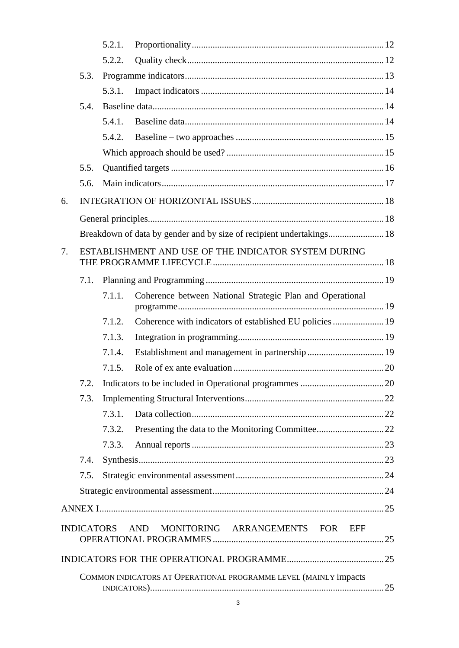|    |      | 5.2.1. |                                                                      |  |
|----|------|--------|----------------------------------------------------------------------|--|
|    |      | 5.2.2. |                                                                      |  |
|    | 5.3. |        |                                                                      |  |
|    |      | 5.3.1. |                                                                      |  |
|    | 5.4. |        |                                                                      |  |
|    |      | 5.4.1. |                                                                      |  |
|    |      | 5.4.2. |                                                                      |  |
|    |      |        |                                                                      |  |
|    | 5.5. |        |                                                                      |  |
|    | 5.6. |        |                                                                      |  |
| 6. |      |        |                                                                      |  |
|    |      |        |                                                                      |  |
|    |      |        | Breakdown of data by gender and by size of recipient undertakings 18 |  |
| 7. |      |        | ESTABLISHMENT AND USE OF THE INDICATOR SYSTEM DURING                 |  |
|    |      |        |                                                                      |  |
|    | 7.1. |        |                                                                      |  |
|    |      | 7.1.1. | Coherence between National Strategic Plan and Operational            |  |
|    |      | 7.1.2. | Coherence with indicators of established EU policies  19             |  |
|    |      | 7.1.3. |                                                                      |  |
|    |      | 7.1.4. |                                                                      |  |
|    |      | 7.1.5. |                                                                      |  |
|    | 7.2. |        |                                                                      |  |
|    | 7.3. |        |                                                                      |  |
|    |      | 7.3.1. |                                                                      |  |
|    |      | 7.3.2. |                                                                      |  |
|    |      | 7.3.3. |                                                                      |  |
|    | 7.4. |        |                                                                      |  |
|    | 7.5. |        |                                                                      |  |
|    |      |        |                                                                      |  |
|    |      |        |                                                                      |  |
|    |      |        | INDICATORS AND MONITORING ARRANGEMENTS FOR EFF                       |  |
|    |      |        |                                                                      |  |
|    |      |        | COMMON INDICATORS AT OPERATIONAL PROGRAMME LEVEL (MAINLY impacts     |  |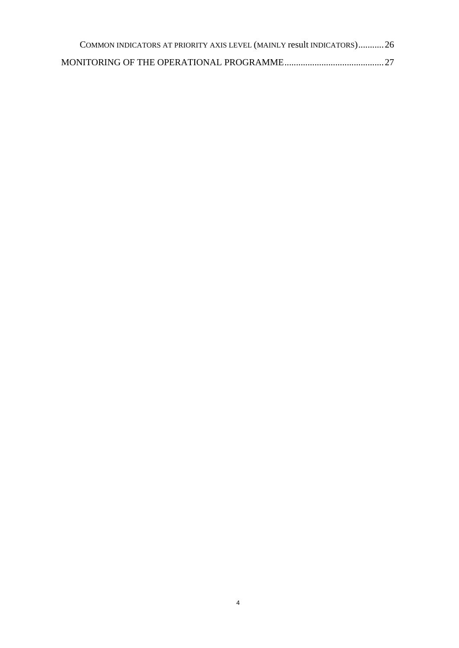| COMMON INDICATORS AT PRIORITY AXIS LEVEL (MAINLY result INDICATORS)26 |  |
|-----------------------------------------------------------------------|--|
|                                                                       |  |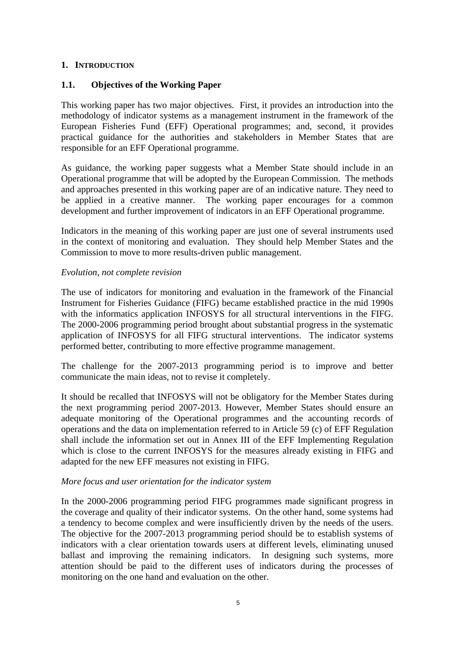### **1. INTRODUCTION**

### **1.1. Objectives of the Working Paper**

This working paper has two major objectives. First, it provides an introduction into the methodology of indicator systems as a management instrument in the framework of the European Fisheries Fund (EFF) Operational programmes; and, second, it provides practical guidance for the authorities and stakeholders in Member States that are responsible for an EFF Operational programme.

As guidance, the working paper suggests what a Member State should include in an Operational programme that will be adopted by the European Commission. The methods and approaches presented in this working paper are of an indicative nature. They need to be applied in a creative manner. The working paper encourages for a common development and further improvement of indicators in an EFF Operational programme.

Indicators in the meaning of this working paper are just one of several instruments used in the context of monitoring and evaluation. They should help Member States and the Commission to move to more results-driven public management.

#### *Evolution, not complete revision*

The use of indicators for monitoring and evaluation in the framework of the Financial Instrument for Fisheries Guidance (FIFG) became established practice in the mid 1990s with the informatics application INFOSYS for all structural interventions in the FIFG. The 2000-2006 programming period brought about substantial progress in the systematic application of INFOSYS for all FIFG structural interventions. The indicator systems performed better, contributing to more effective programme management.

The challenge for the 2007-2013 programming period is to improve and better communicate the main ideas, not to revise it completely.

It should be recalled that INFOSYS will not be obligatory for the Member States during the next programming period 2007-2013. However, Member States should ensure an adequate monitoring of the Operational programmes and the accounting records of operations and the data on implementation referred to in Article 59 (c) of EFF Regulation shall include the information set out in Annex III of the EFF Implementing Regulation which is close to the current INFOSYS for the measures already existing in FIFG and adapted for the new EFF measures not existing in FIFG.

#### *More focus and user orientation for the indicator system*

In the 2000-2006 programming period FIFG programmes made significant progress in the coverage and quality of their indicator systems. On the other hand, some systems had a tendency to become complex and were insufficiently driven by the needs of the users. The objective for the 2007-2013 programming period should be to establish systems of indicators with a clear orientation towards users at different levels, eliminating unused ballast and improving the remaining indicators. In designing such systems, more attention should be paid to the different uses of indicators during the processes of monitoring on the one hand and evaluation on the other.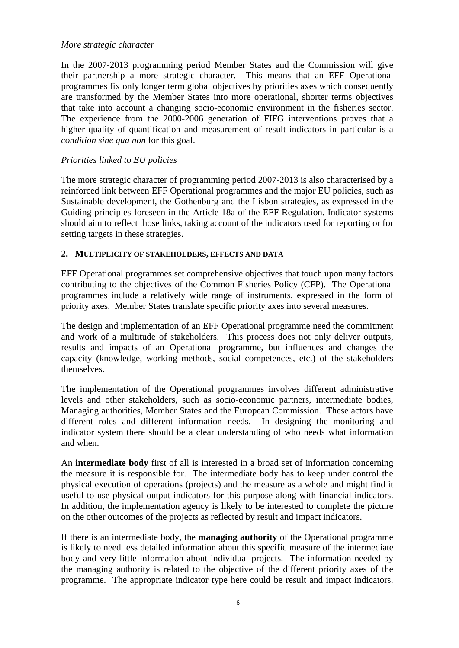#### *More strategic character*

In the 2007-2013 programming period Member States and the Commission will give their partnership a more strategic character. This means that an EFF Operational programmes fix only longer term global objectives by priorities axes which consequently are transformed by the Member States into more operational, shorter terms objectives that take into account a changing socio-economic environment in the fisheries sector. The experience from the 2000-2006 generation of FIFG interventions proves that a higher quality of quantification and measurement of result indicators in particular is a *condition sine qua non* for this goal.

# *Priorities linked to EU policies*

The more strategic character of programming period 2007-2013 is also characterised by a reinforced link between EFF Operational programmes and the major EU policies, such as Sustainable development, the Gothenburg and the Lisbon strategies, as expressed in the Guiding principles foreseen in the Article 18a of the EFF Regulation. Indicator systems should aim to reflect those links, taking account of the indicators used for reporting or for setting targets in these strategies.

### **2. MULTIPLICITY OF STAKEHOLDERS, EFFECTS AND DATA**

EFF Operational programmes set comprehensive objectives that touch upon many factors contributing to the objectives of the Common Fisheries Policy (CFP). The Operational programmes include a relatively wide range of instruments, expressed in the form of priority axes. Member States translate specific priority axes into several measures.

The design and implementation of an EFF Operational programme need the commitment and work of a multitude of stakeholders. This process does not only deliver outputs, results and impacts of an Operational programme, but influences and changes the capacity (knowledge, working methods, social competences, etc.) of the stakeholders themselves.

The implementation of the Operational programmes involves different administrative levels and other stakeholders, such as socio-economic partners, intermediate bodies, Managing authorities, Member States and the European Commission. These actors have different roles and different information needs. In designing the monitoring and indicator system there should be a clear understanding of who needs what information and when.

An **intermediate body** first of all is interested in a broad set of information concerning the measure it is responsible for. The intermediate body has to keep under control the physical execution of operations (projects) and the measure as a whole and might find it useful to use physical output indicators for this purpose along with financial indicators. In addition, the implementation agency is likely to be interested to complete the picture on the other outcomes of the projects as reflected by result and impact indicators.

If there is an intermediate body, the **managing authority** of the Operational programme is likely to need less detailed information about this specific measure of the intermediate body and very little information about individual projects. The information needed by the managing authority is related to the objective of the different priority axes of the programme. The appropriate indicator type here could be result and impact indicators.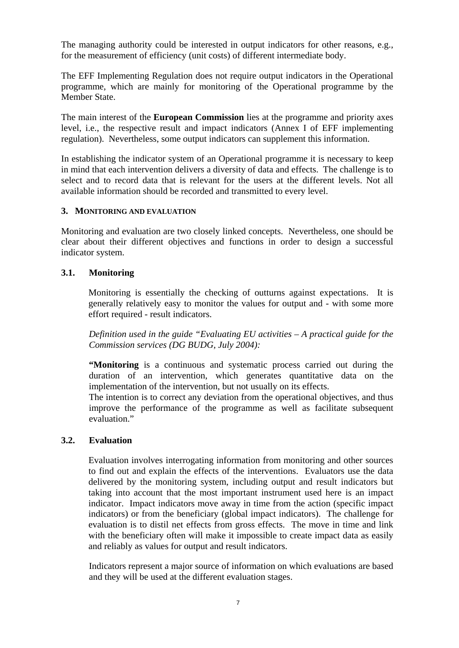The managing authority could be interested in output indicators for other reasons, e.g., for the measurement of efficiency (unit costs) of different intermediate body.

The EFF Implementing Regulation does not require output indicators in the Operational programme, which are mainly for monitoring of the Operational programme by the Member State.

The main interest of the **European Commission** lies at the programme and priority axes level, i.e., the respective result and impact indicators (Annex I of EFF implementing regulation). Nevertheless, some output indicators can supplement this information.

In establishing the indicator system of an Operational programme it is necessary to keep in mind that each intervention delivers a diversity of data and effects. The challenge is to select and to record data that is relevant for the users at the different levels. Not all available information should be recorded and transmitted to every level.

#### **3. MONITORING AND EVALUATION**

Monitoring and evaluation are two closely linked concepts. Nevertheless, one should be clear about their different objectives and functions in order to design a successful indicator system.

#### **3.1. Monitoring**

Monitoring is essentially the checking of outturns against expectations. It is generally relatively easy to monitor the values for output and - with some more effort required - result indicators.

*Definition used in the guide "Evaluating EU activities – A practical guide for the Commission services (DG BUDG, July 2004):* 

**"Monitoring** is a continuous and systematic process carried out during the duration of an intervention, which generates quantitative data on the implementation of the intervention, but not usually on its effects.

The intention is to correct any deviation from the operational objectives, and thus improve the performance of the programme as well as facilitate subsequent evaluation."

#### **3.2. Evaluation**

Evaluation involves interrogating information from monitoring and other sources to find out and explain the effects of the interventions. Evaluators use the data delivered by the monitoring system, including output and result indicators but taking into account that the most important instrument used here is an impact indicator. Impact indicators move away in time from the action (specific impact indicators) or from the beneficiary (global impact indicators). The challenge for evaluation is to distil net effects from gross effects. The move in time and link with the beneficiary often will make it impossible to create impact data as easily and reliably as values for output and result indicators.

Indicators represent a major source of information on which evaluations are based and they will be used at the different evaluation stages.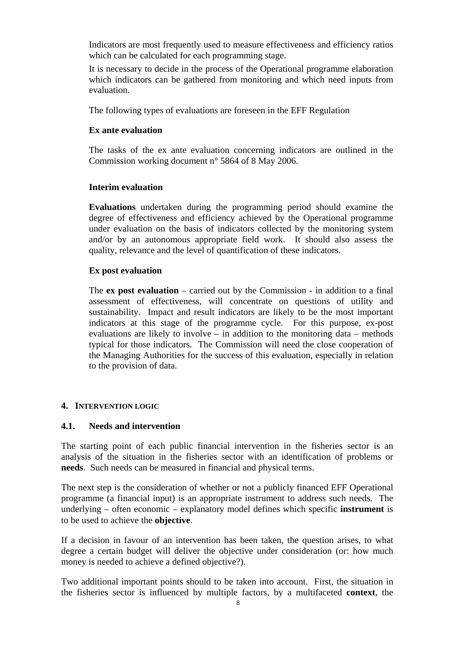Indicators are most frequently used to measure effectiveness and efficiency ratios which can be calculated for each programming stage.

It is necessary to decide in the process of the Operational programme elaboration which indicators can be gathered from monitoring and which need inputs from evaluation.

The following types of evaluations are foreseen in the EFF Regulation

### **Ex ante evaluation**

The tasks of the ex ante evaluation concerning indicators are outlined in the Commission working document n° 5864 of 8 May 2006.

### **Interim evaluation**

**Evaluations** undertaken during the programming period should examine the degree of effectiveness and efficiency achieved by the Operational programme under evaluation on the basis of indicators collected by the monitoring system and/or by an autonomous appropriate field work. It should also assess the quality, relevance and the level of quantification of these indicators.

### **Ex post evaluation**

The **ex post evaluation** – carried out by the Commission - in addition to a final assessment of effectiveness, will concentrate on questions of utility and sustainability. Impact and result indicators are likely to be the most important indicators at this stage of the programme cycle. For this purpose, ex-post evaluations are likely to involve – in addition to the monitoring data – methods typical for those indicators. The Commission will need the close cooperation of the Managing Authorities for the success of this evaluation, especially in relation to the provision of data.

#### **4. INTERVENTION LOGIC**

### **4.1. Needs and intervention**

The starting point of each public financial intervention in the fisheries sector is an analysis of the situation in the fisheries sector with an identification of problems or **needs**. Such needs can be measured in financial and physical terms.

The next step is the consideration of whether or not a publicly financed EFF Operational programme (a financial input) is an appropriate instrument to address such needs. The underlying – often economic – explanatory model defines which specific **instrument** is to be used to achieve the **objective**.

If a decision in favour of an intervention has been taken, the question arises, to what degree a certain budget will deliver the objective under consideration (or: how much money is needed to achieve a defined objective?).

Two additional important points should to be taken into account. First, the situation in the fisheries sector is influenced by multiple factors, by a multifaceted **context**, the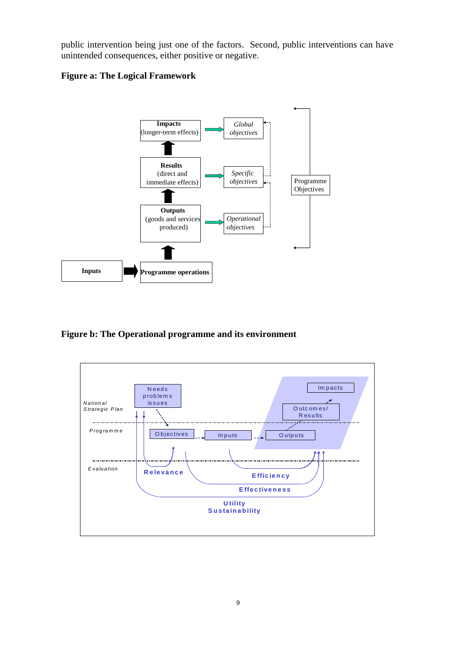public intervention being just one of the factors. Second, public interventions can have unintended consequences, either positive or negative.

# **Figure a: The Logical Framework**



**Figure b: The Operational programme and its environment** 

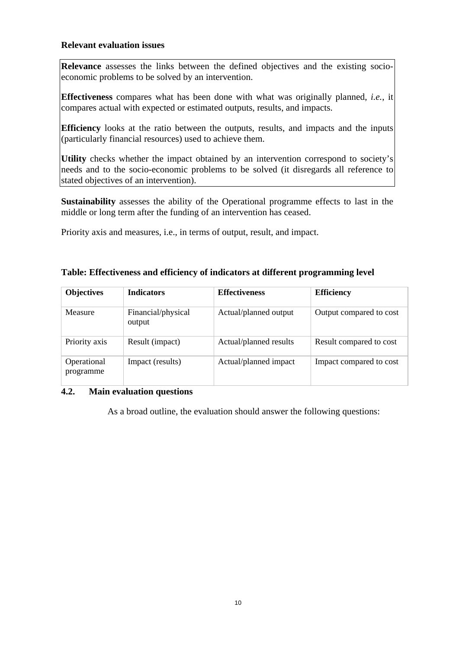#### **Relevant evaluation issues**

**Relevance** assesses the links between the defined objectives and the existing socioeconomic problems to be solved by an intervention.

**Effectiveness** compares what has been done with what was originally planned, *i.e.*, it compares actual with expected or estimated outputs, results, and impacts.

**Efficiency** looks at the ratio between the outputs, results, and impacts and the inputs (particularly financial resources) used to achieve them.

Utility checks whether the impact obtained by an intervention correspond to society's needs and to the socio-economic problems to be solved (it disregards all reference to stated objectives of an intervention).

**Sustainability** assesses the ability of the Operational programme effects to last in the middle or long term after the funding of an intervention has ceased.

Priority axis and measures, i.e., in terms of output, result, and impact.

| <b>Objectives</b>        | <b>Indicators</b>            | <b>Effectiveness</b>   | <b>Efficiency</b>       |
|--------------------------|------------------------------|------------------------|-------------------------|
| Measure                  | Financial/physical<br>output | Actual/planned output  | Output compared to cost |
| Priority axis            | Result (impact)              | Actual/planned results | Result compared to cost |
| Operational<br>programme | Impact (results)             | Actual/planned impact  | Impact compared to cost |

#### **Table: Effectiveness and efficiency of indicators at different programming level**

#### **4.2. Main evaluation questions**

As a broad outline, the evaluation should answer the following questions: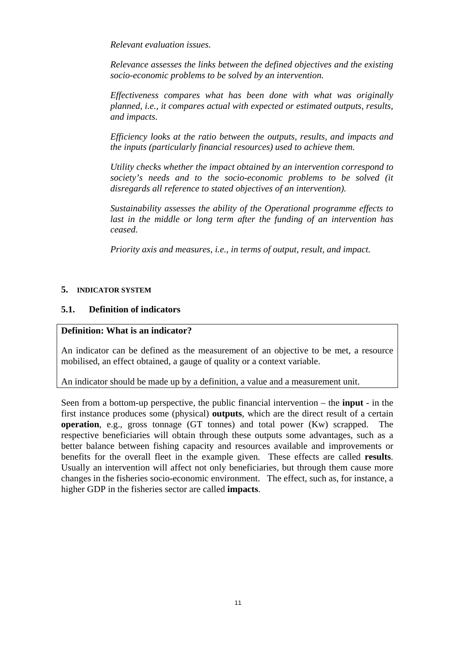*Relevant evaluation issues.* 

*Relevance assesses the links between the defined objectives and the existing socio-economic problems to be solved by an intervention.* 

*Effectiveness compares what has been done with what was originally planned, i.e., it compares actual with expected or estimated outputs, results, and impacts.* 

*Efficiency looks at the ratio between the outputs, results, and impacts and the inputs (particularly financial resources) used to achieve them.* 

*Utility checks whether the impact obtained by an intervention correspond to society's needs and to the socio-economic problems to be solved (it disregards all reference to stated objectives of an intervention).* 

*Sustainability assesses the ability of the Operational programme effects to last in the middle or long term after the funding of an intervention has ceased.* 

*Priority axis and measures, i.e., in terms of output, result, and impact.* 

### **5. INDICATOR SYSTEM**

### **5.1. Definition of indicators**

#### **Definition: What is an indicator?**

An indicator can be defined as the measurement of an objective to be met, a resource mobilised, an effect obtained, a gauge of quality or a context variable.

An indicator should be made up by a definition, a value and a measurement unit.

Seen from a bottom-up perspective, the public financial intervention – the **input** - in the first instance produces some (physical) **outputs**, which are the direct result of a certain **operation**, e.g., gross tonnage (GT tonnes) and total power (Kw) scrapped. The respective beneficiaries will obtain through these outputs some advantages, such as a better balance between fishing capacity and resources available and improvements or benefits for the overall fleet in the example given. These effects are called **results**. Usually an intervention will affect not only beneficiaries, but through them cause more changes in the fisheries socio-economic environment. The effect, such as, for instance, a higher GDP in the fisheries sector are called **impacts**.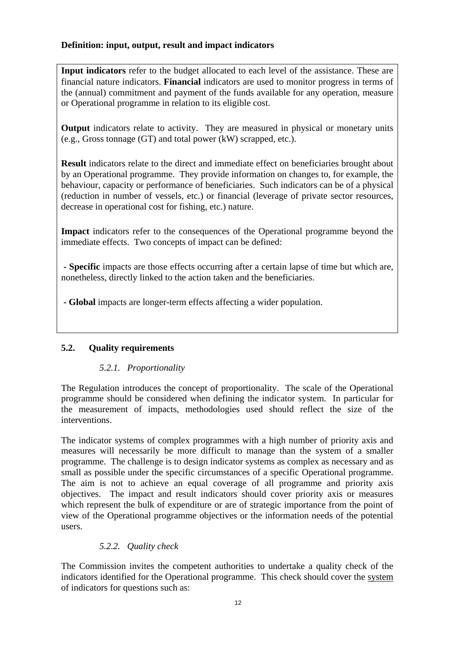# **Definition: input, output, result and impact indicators**

**Input indicators** refer to the budget allocated to each level of the assistance. These are financial nature indicators. **Financial** indicators are used to monitor progress in terms of the (annual) commitment and payment of the funds available for any operation, measure or Operational programme in relation to its eligible cost.

**Output** indicators relate to activity. They are measured in physical or monetary units (e.g., Gross tonnage (GT) and total power (kW) scrapped, etc.).

**Result** indicators relate to the direct and immediate effect on beneficiaries brought about by an Operational programme. They provide information on changes to, for example, the behaviour, capacity or performance of beneficiaries. Such indicators can be of a physical (reduction in number of vessels, etc.) or financial (leverage of private sector resources, decrease in operational cost for fishing, etc.) nature.

**Impact** indicators refer to the consequences of the Operational programme beyond the immediate effects. Two concepts of impact can be defined:

 **- Specific** impacts are those effects occurring after a certain lapse of time but which are, nonetheless, directly linked to the action taken and the beneficiaries.

 **- Global** impacts are longer-term effects affecting a wider population.

# **5.2. Quality requirements**

# *5.2.1. Proportionality*

The Regulation introduces the concept of proportionality. The scale of the Operational programme should be considered when defining the indicator system. In particular for the measurement of impacts, methodologies used should reflect the size of the interventions.

The indicator systems of complex programmes with a high number of priority axis and measures will necessarily be more difficult to manage than the system of a smaller programme. The challenge is to design indicator systems as complex as necessary and as small as possible under the specific circumstances of a specific Operational programme. The aim is not to achieve an equal coverage of all programme and priority axis objectives. The impact and result indicators should cover priority axis or measures which represent the bulk of expenditure or are of strategic importance from the point of view of the Operational programme objectives or the information needs of the potential users.

# *5.2.2. Quality check*

The Commission invites the competent authorities to undertake a quality check of the indicators identified for the Operational programme. This check should cover the system of indicators for questions such as: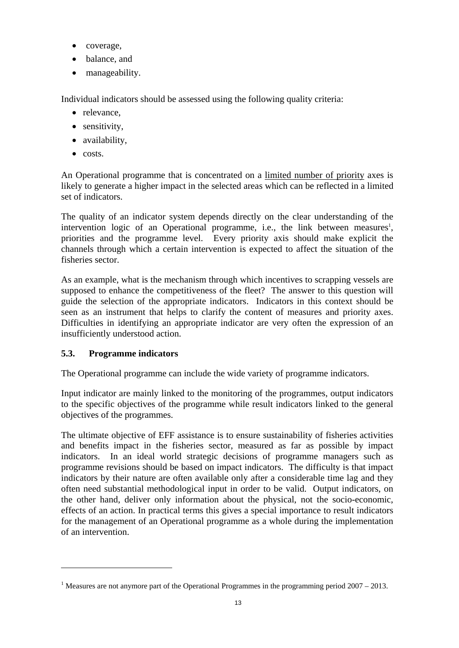- coverage,
- balance, and
- manageability.

Individual indicators should be assessed using the following quality criteria:

- relevance.
- sensitivity,
- availability,
- costs.

An Operational programme that is concentrated on a limited number of priority axes is likely to generate a higher impact in the selected areas which can be reflected in a limited set of indicators.

The quality of an indicator system depends directly on the clear understanding of the intervention logic of an Operational programme, i.e., the link between measures<sup>1</sup>, priorities and the programme level. Every priority axis should make explicit the channels through which a certain intervention is expected to affect the situation of the fisheries sector.

As an example, what is the mechanism through which incentives to scrapping vessels are supposed to enhance the competitiveness of the fleet? The answer to this question will guide the selection of the appropriate indicators. Indicators in this context should be seen as an instrument that helps to clarify the content of measures and priority axes. Difficulties in identifying an appropriate indicator are very often the expression of an insufficiently understood action.

# **5.3. Programme indicators**

 $\overline{a}$ 

The Operational programme can include the wide variety of programme indicators.

Input indicator are mainly linked to the monitoring of the programmes, output indicators to the specific objectives of the programme while result indicators linked to the general objectives of the programmes.

The ultimate objective of EFF assistance is to ensure sustainability of fisheries activities and benefits impact in the fisheries sector, measured as far as possible by impact indicators. In an ideal world strategic decisions of programme managers such as programme revisions should be based on impact indicators. The difficulty is that impact indicators by their nature are often available only after a considerable time lag and they often need substantial methodological input in order to be valid. Output indicators, on the other hand, deliver only information about the physical, not the socio-economic, effects of an action. In practical terms this gives a special importance to result indicators for the management of an Operational programme as a whole during the implementation of an intervention.

<sup>&</sup>lt;sup>1</sup> Measures are not anymore part of the Operational Programmes in the programming period  $2007 - 2013$ .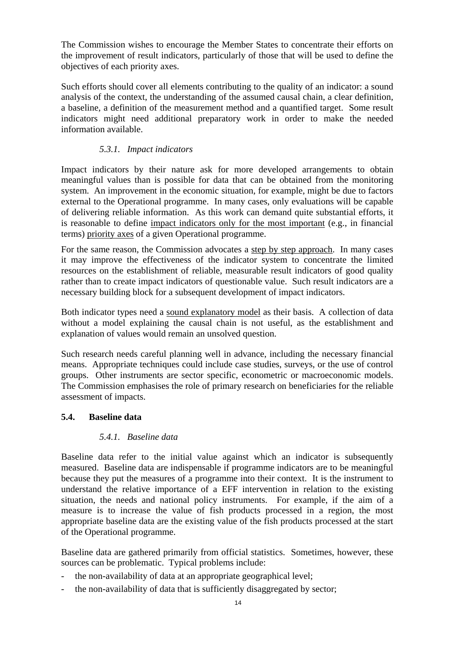The Commission wishes to encourage the Member States to concentrate their efforts on the improvement of result indicators, particularly of those that will be used to define the objectives of each priority axes.

Such efforts should cover all elements contributing to the quality of an indicator: a sound analysis of the context, the understanding of the assumed causal chain, a clear definition, a baseline, a definition of the measurement method and a quantified target. Some result indicators might need additional preparatory work in order to make the needed information available.

### *5.3.1. Impact indicators*

Impact indicators by their nature ask for more developed arrangements to obtain meaningful values than is possible for data that can be obtained from the monitoring system. An improvement in the economic situation, for example, might be due to factors external to the Operational programme. In many cases, only evaluations will be capable of delivering reliable information. As this work can demand quite substantial efforts, it is reasonable to define impact indicators only for the most important (e.g., in financial terms) priority axes of a given Operational programme.

For the same reason, the Commission advocates a step by step approach. In many cases it may improve the effectiveness of the indicator system to concentrate the limited resources on the establishment of reliable, measurable result indicators of good quality rather than to create impact indicators of questionable value. Such result indicators are a necessary building block for a subsequent development of impact indicators.

Both indicator types need a sound explanatory model as their basis. A collection of data without a model explaining the causal chain is not useful, as the establishment and explanation of values would remain an unsolved question.

Such research needs careful planning well in advance, including the necessary financial means. Appropriate techniques could include case studies, surveys, or the use of control groups. Other instruments are sector specific, econometric or macroeconomic models. The Commission emphasises the role of primary research on beneficiaries for the reliable assessment of impacts.

### **5.4. Baseline data**

### *5.4.1. Baseline data*

Baseline data refer to the initial value against which an indicator is subsequently measured. Baseline data are indispensable if programme indicators are to be meaningful because they put the measures of a programme into their context. It is the instrument to understand the relative importance of a EFF intervention in relation to the existing situation, the needs and national policy instruments. For example, if the aim of a measure is to increase the value of fish products processed in a region, the most appropriate baseline data are the existing value of the fish products processed at the start of the Operational programme.

Baseline data are gathered primarily from official statistics. Sometimes, however, these sources can be problematic. Typical problems include:

- the non-availability of data at an appropriate geographical level;
- the non-availability of data that is sufficiently disaggregated by sector;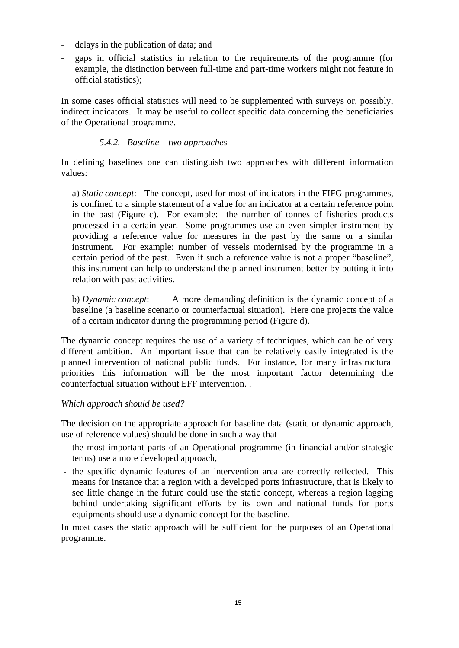- delays in the publication of data; and
- gaps in official statistics in relation to the requirements of the programme (for example, the distinction between full-time and part-time workers might not feature in official statistics);

In some cases official statistics will need to be supplemented with surveys or, possibly, indirect indicators. It may be useful to collect specific data concerning the beneficiaries of the Operational programme.

### *5.4.2. Baseline – two approaches*

In defining baselines one can distinguish two approaches with different information values:

a) *Static concept*: The concept, used for most of indicators in the FIFG programmes, is confined to a simple statement of a value for an indicator at a certain reference point in the past (Figure c). For example: the number of tonnes of fisheries products processed in a certain year. Some programmes use an even simpler instrument by providing a reference value for measures in the past by the same or a similar instrument. For example: number of vessels modernised by the programme in a certain period of the past. Even if such a reference value is not a proper "baseline", this instrument can help to understand the planned instrument better by putting it into relation with past activities.

b) *Dynamic concept*: A more demanding definition is the dynamic concept of a baseline (a baseline scenario or counterfactual situation). Here one projects the value of a certain indicator during the programming period (Figure d).

The dynamic concept requires the use of a variety of techniques, which can be of very different ambition. An important issue that can be relatively easily integrated is the planned intervention of national public funds. For instance, for many infrastructural priorities this information will be the most important factor determining the counterfactual situation without EFF intervention. .

#### *Which approach should be used?*

The decision on the appropriate approach for baseline data (static or dynamic approach, use of reference values) should be done in such a way that

- the most important parts of an Operational programme (in financial and/or strategic terms) use a more developed approach,
- the specific dynamic features of an intervention area are correctly reflected. This means for instance that a region with a developed ports infrastructure, that is likely to see little change in the future could use the static concept, whereas a region lagging behind undertaking significant efforts by its own and national funds for ports equipments should use a dynamic concept for the baseline.

In most cases the static approach will be sufficient for the purposes of an Operational programme.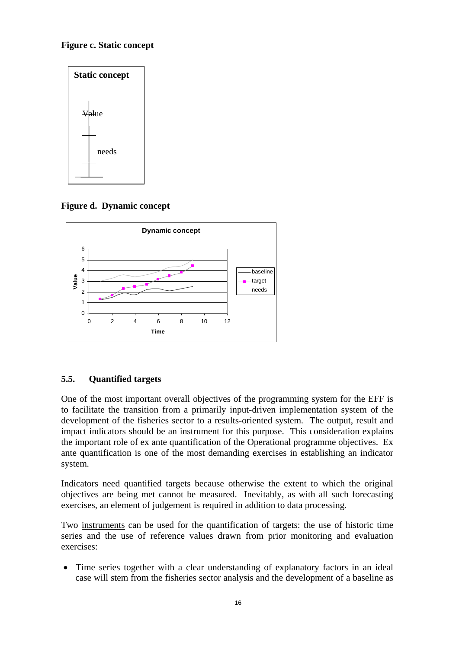# **Figure c. Static concept**



**Figure d. Dynamic concept**



# **5.5. Quantified targets**

One of the most important overall objectives of the programming system for the EFF is to facilitate the transition from a primarily input-driven implementation system of the development of the fisheries sector to a results-oriented system. The output, result and impact indicators should be an instrument for this purpose. This consideration explains the important role of ex ante quantification of the Operational programme objectives. Ex ante quantification is one of the most demanding exercises in establishing an indicator system.

Indicators need quantified targets because otherwise the extent to which the original objectives are being met cannot be measured. Inevitably, as with all such forecasting exercises, an element of judgement is required in addition to data processing.

Two instruments can be used for the quantification of targets: the use of historic time series and the use of reference values drawn from prior monitoring and evaluation exercises:

• Time series together with a clear understanding of explanatory factors in an ideal case will stem from the fisheries sector analysis and the development of a baseline as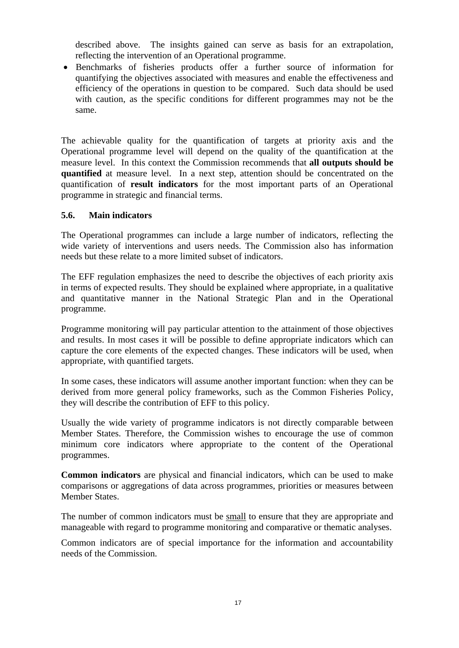described above. The insights gained can serve as basis for an extrapolation, reflecting the intervention of an Operational programme.

• Benchmarks of fisheries products offer a further source of information for quantifying the objectives associated with measures and enable the effectiveness and efficiency of the operations in question to be compared. Such data should be used with caution, as the specific conditions for different programmes may not be the same.

The achievable quality for the quantification of targets at priority axis and the Operational programme level will depend on the quality of the quantification at the measure level. In this context the Commission recommends that **all outputs should be quantified** at measure level. In a next step, attention should be concentrated on the quantification of **result indicators** for the most important parts of an Operational programme in strategic and financial terms.

#### **5.6. Main indicators**

The Operational programmes can include a large number of indicators, reflecting the wide variety of interventions and users needs. The Commission also has information needs but these relate to a more limited subset of indicators.

The EFF regulation emphasizes the need to describe the objectives of each priority axis in terms of expected results. They should be explained where appropriate, in a qualitative and quantitative manner in the National Strategic Plan and in the Operational programme.

Programme monitoring will pay particular attention to the attainment of those objectives and results. In most cases it will be possible to define appropriate indicators which can capture the core elements of the expected changes. These indicators will be used, when appropriate, with quantified targets.

In some cases, these indicators will assume another important function: when they can be derived from more general policy frameworks, such as the Common Fisheries Policy, they will describe the contribution of EFF to this policy.

Usually the wide variety of programme indicators is not directly comparable between Member States. Therefore, the Commission wishes to encourage the use of common minimum core indicators where appropriate to the content of the Operational programmes.

**Common indicators** are physical and financial indicators, which can be used to make comparisons or aggregations of data across programmes, priorities or measures between Member States.

The number of common indicators must be small to ensure that they are appropriate and manageable with regard to programme monitoring and comparative or thematic analyses.

Common indicators are of special importance for the information and accountability needs of the Commission.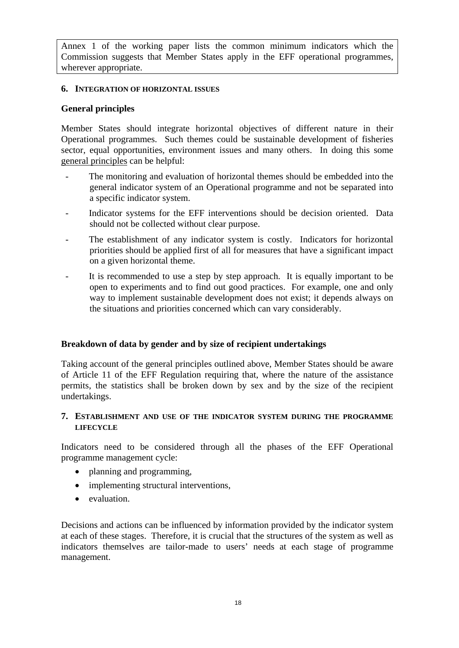Annex 1 of the working paper lists the common minimum indicators which the Commission suggests that Member States apply in the EFF operational programmes, wherever appropriate.

#### **6. INTEGRATION OF HORIZONTAL ISSUES**

### **General principles**

Member States should integrate horizontal objectives of different nature in their Operational programmes. Such themes could be sustainable development of fisheries sector, equal opportunities, environment issues and many others. In doing this some general principles can be helpful:

- The monitoring and evaluation of horizontal themes should be embedded into the general indicator system of an Operational programme and not be separated into a specific indicator system.
- Indicator systems for the EFF interventions should be decision oriented. Data should not be collected without clear purpose.
- The establishment of any indicator system is costly. Indicators for horizontal priorities should be applied first of all for measures that have a significant impact on a given horizontal theme.
- It is recommended to use a step by step approach. It is equally important to be open to experiments and to find out good practices. For example, one and only way to implement sustainable development does not exist; it depends always on the situations and priorities concerned which can vary considerably.

### **Breakdown of data by gender and by size of recipient undertakings**

Taking account of the general principles outlined above, Member States should be aware of Article 11 of the EFF Regulation requiring that, where the nature of the assistance permits, the statistics shall be broken down by sex and by the size of the recipient undertakings.

### **7. ESTABLISHMENT AND USE OF THE INDICATOR SYSTEM DURING THE PROGRAMME LIFECYCLE**

Indicators need to be considered through all the phases of the EFF Operational programme management cycle:

- planning and programming,
- implementing structural interventions,
- evaluation.

Decisions and actions can be influenced by information provided by the indicator system at each of these stages. Therefore, it is crucial that the structures of the system as well as indicators themselves are tailor-made to users' needs at each stage of programme management.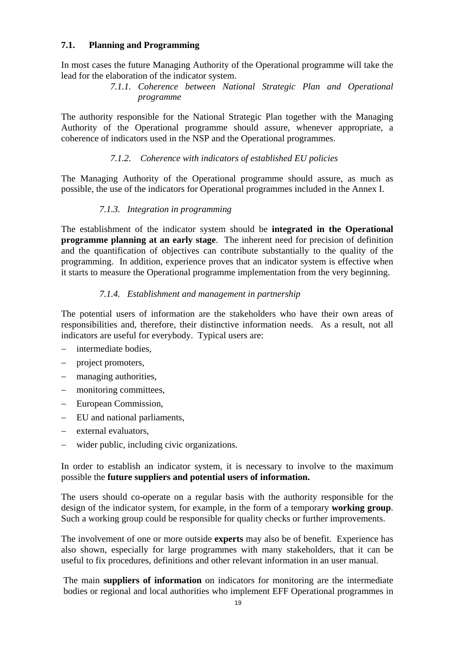### **7.1. Planning and Programming**

In most cases the future Managing Authority of the Operational programme will take the lead for the elaboration of the indicator system.

### *7.1.1. Coherence between National Strategic Plan and Operational programme*

The authority responsible for the National Strategic Plan together with the Managing Authority of the Operational programme should assure, whenever appropriate, a coherence of indicators used in the NSP and the Operational programmes.

### *7.1.2. Coherence with indicators of established EU policies*

The Managing Authority of the Operational programme should assure, as much as possible, the use of the indicators for Operational programmes included in the Annex I.

### *7.1.3. Integration in programming*

The establishment of the indicator system should be **integrated in the Operational programme planning at an early stage**. The inherent need for precision of definition and the quantification of objectives can contribute substantially to the quality of the programming. In addition, experience proves that an indicator system is effective when it starts to measure the Operational programme implementation from the very beginning.

### *7.1.4. Establishment and management in partnership*

The potential users of information are the stakeholders who have their own areas of responsibilities and, therefore, their distinctive information needs. As a result, not all indicators are useful for everybody. Typical users are:

- − intermediate bodies,
- project promoters,
- − managing authorities,
- − monitoring committees,
- − European Commission,
- − EU and national parliaments,
- external evaluators,
- wider public, including civic organizations.

In order to establish an indicator system, it is necessary to involve to the maximum possible the **future suppliers and potential users of information.** 

The users should co-operate on a regular basis with the authority responsible for the design of the indicator system, for example, in the form of a temporary **working group**. Such a working group could be responsible for quality checks or further improvements.

The involvement of one or more outside **experts** may also be of benefit. Experience has also shown, especially for large programmes with many stakeholders, that it can be useful to fix procedures, definitions and other relevant information in an user manual.

The main **suppliers of information** on indicators for monitoring are the intermediate bodies or regional and local authorities who implement EFF Operational programmes in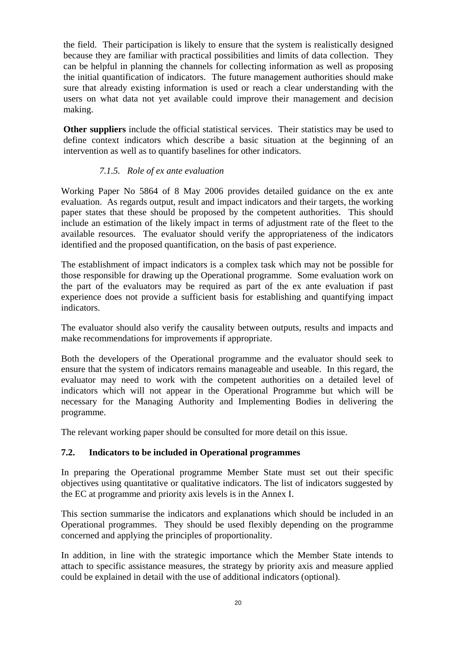the field. Their participation is likely to ensure that the system is realistically designed because they are familiar with practical possibilities and limits of data collection. They can be helpful in planning the channels for collecting information as well as proposing the initial quantification of indicators. The future management authorities should make sure that already existing information is used or reach a clear understanding with the users on what data not yet available could improve their management and decision making.

**Other suppliers** include the official statistical services. Their statistics may be used to define context indicators which describe a basic situation at the beginning of an intervention as well as to quantify baselines for other indicators.

### *7.1.5. Role of ex ante evaluation*

Working Paper No 5864 of 8 May 2006 provides detailed guidance on the ex ante evaluation. As regards output, result and impact indicators and their targets, the working paper states that these should be proposed by the competent authorities. This should include an estimation of the likely impact in terms of adjustment rate of the fleet to the available resources. The evaluator should verify the appropriateness of the indicators identified and the proposed quantification, on the basis of past experience.

The establishment of impact indicators is a complex task which may not be possible for those responsible for drawing up the Operational programme. Some evaluation work on the part of the evaluators may be required as part of the ex ante evaluation if past experience does not provide a sufficient basis for establishing and quantifying impact indicators.

The evaluator should also verify the causality between outputs, results and impacts and make recommendations for improvements if appropriate.

Both the developers of the Operational programme and the evaluator should seek to ensure that the system of indicators remains manageable and useable. In this regard, the evaluator may need to work with the competent authorities on a detailed level of indicators which will not appear in the Operational Programme but which will be necessary for the Managing Authority and Implementing Bodies in delivering the programme.

The relevant working paper should be consulted for more detail on this issue.

#### **7.2. Indicators to be included in Operational programmes**

In preparing the Operational programme Member State must set out their specific objectives using quantitative or qualitative indicators. The list of indicators suggested by the EC at programme and priority axis levels is in the Annex I.

This section summarise the indicators and explanations which should be included in an Operational programmes. They should be used flexibly depending on the programme concerned and applying the principles of proportionality.

In addition, in line with the strategic importance which the Member State intends to attach to specific assistance measures, the strategy by priority axis and measure applied could be explained in detail with the use of additional indicators (optional).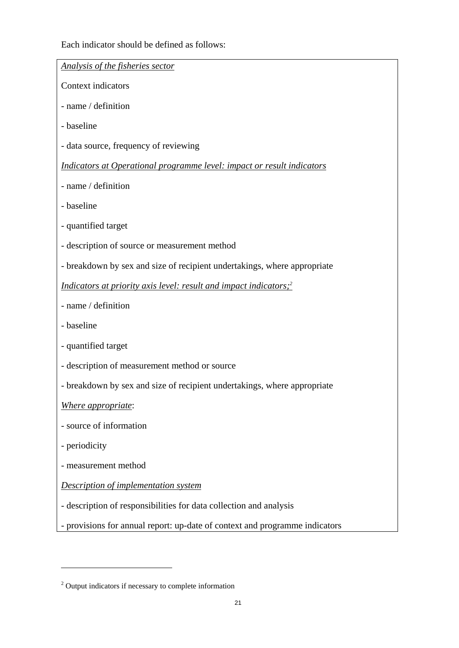Each indicator should be defined as follows:

| Analysis of the fisheries sector                                              |
|-------------------------------------------------------------------------------|
| Context indicators                                                            |
| - name / definition                                                           |
| - baseline                                                                    |
| - data source, frequency of reviewing                                         |
| Indicators at Operational programme level: impact or result indicators        |
| - name / definition                                                           |
| - baseline                                                                    |
| - quantified target                                                           |
| - description of source or measurement method                                 |
| - breakdown by sex and size of recipient undertakings, where appropriate      |
| Indicators at priority axis level: result and impact indicators; <sup>2</sup> |
| - name / definition                                                           |
| - baseline                                                                    |
| - quantified target                                                           |
| - description of measurement method or source                                 |
| - breakdown by sex and size of recipient undertakings, where appropriate      |
| Where appropriate:                                                            |
| - source of information                                                       |
| - periodicity                                                                 |
| - measurement method                                                          |
| <b>Description of implementation system</b>                                   |
| - description of responsibilities for data collection and analysis            |
| - provisions for annual report: up-date of context and programme indicators   |

 $\overline{a}$ 

<sup>&</sup>lt;sup>2</sup> Output indicators if necessary to complete information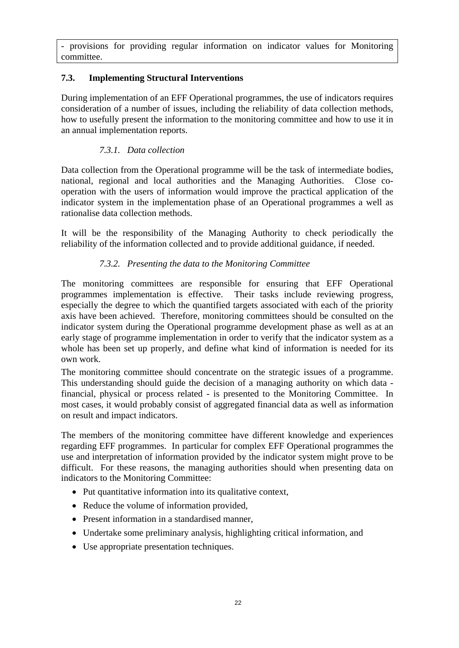- provisions for providing regular information on indicator values for Monitoring committee.

# **7.3. Implementing Structural Interventions**

During implementation of an EFF Operational programmes, the use of indicators requires consideration of a number of issues, including the reliability of data collection methods, how to usefully present the information to the monitoring committee and how to use it in an annual implementation reports.

# *7.3.1. Data collection*

Data collection from the Operational programme will be the task of intermediate bodies, national, regional and local authorities and the Managing Authorities. Close cooperation with the users of information would improve the practical application of the indicator system in the implementation phase of an Operational programmes a well as rationalise data collection methods.

It will be the responsibility of the Managing Authority to check periodically the reliability of the information collected and to provide additional guidance, if needed.

### *7.3.2. Presenting the data to the Monitoring Committee*

The monitoring committees are responsible for ensuring that EFF Operational programmes implementation is effective. Their tasks include reviewing progress, especially the degree to which the quantified targets associated with each of the priority axis have been achieved. Therefore, monitoring committees should be consulted on the indicator system during the Operational programme development phase as well as at an early stage of programme implementation in order to verify that the indicator system as a whole has been set up properly, and define what kind of information is needed for its own work.

The monitoring committee should concentrate on the strategic issues of a programme. This understanding should guide the decision of a managing authority on which data financial, physical or process related - is presented to the Monitoring Committee. In most cases, it would probably consist of aggregated financial data as well as information on result and impact indicators.

The members of the monitoring committee have different knowledge and experiences regarding EFF programmes. In particular for complex EFF Operational programmes the use and interpretation of information provided by the indicator system might prove to be difficult. For these reasons, the managing authorities should when presenting data on indicators to the Monitoring Committee:

- Put quantitative information into its qualitative context,
- Reduce the volume of information provided.
- Present information in a standardised manner,
- Undertake some preliminary analysis, highlighting critical information, and
- Use appropriate presentation techniques.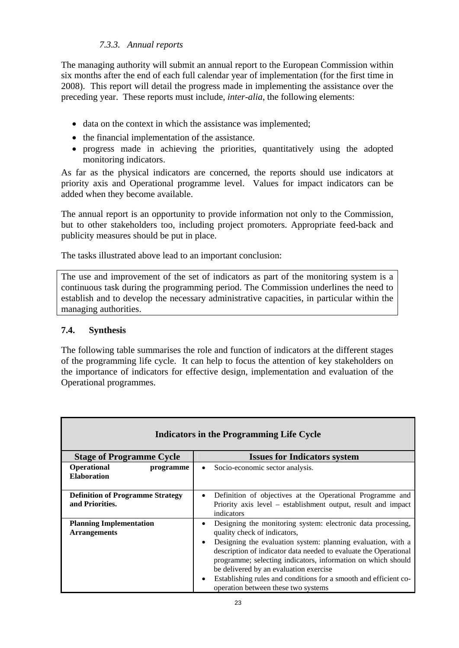# *7.3.3. Annual reports*

The managing authority will submit an annual report to the European Commission within six months after the end of each full calendar year of implementation (for the first time in 2008). This report will detail the progress made in implementing the assistance over the preceding year. These reports must include, *inter-alia*, the following elements:

- data on the context in which the assistance was implemented;
- the financial implementation of the assistance.
- progress made in achieving the priorities, quantitatively using the adopted monitoring indicators.

As far as the physical indicators are concerned, the reports should use indicators at priority axis and Operational programme level. Values for impact indicators can be added when they become available.

The annual report is an opportunity to provide information not only to the Commission, but to other stakeholders too, including project promoters. Appropriate feed-back and publicity measures should be put in place.

The tasks illustrated above lead to an important conclusion:

The use and improvement of the set of indicators as part of the monitoring system is a continuous task during the programming period. The Commission underlines the need to establish and to develop the necessary administrative capacities, in particular within the managing authorities.

### **7.4. Synthesis**

The following table summarises the role and function of indicators at the different stages of the programming life cycle. It can help to focus the attention of key stakeholders on the importance of indicators for effective design, implementation and evaluation of the Operational programmes.

| Indicators in the Programming Life Cycle                   |                                                                                                                                                                                                                                                                                                                                                                                                                                                            |  |
|------------------------------------------------------------|------------------------------------------------------------------------------------------------------------------------------------------------------------------------------------------------------------------------------------------------------------------------------------------------------------------------------------------------------------------------------------------------------------------------------------------------------------|--|
| <b>Stage of Programme Cycle</b>                            | <b>Issues for Indicators system</b>                                                                                                                                                                                                                                                                                                                                                                                                                        |  |
| Operational<br>programme<br><b>Elaboration</b>             | Socio-economic sector analysis.                                                                                                                                                                                                                                                                                                                                                                                                                            |  |
| <b>Definition of Programme Strategy</b><br>and Priorities. | Definition of objectives at the Operational Programme and<br>٠<br>Priority axis level – establishment output, result and impact<br>indicators                                                                                                                                                                                                                                                                                                              |  |
| <b>Planning Implementation</b><br><b>Arrangements</b>      | Designing the monitoring system: electronic data processing,<br>quality check of indicators,<br>Designing the evaluation system: planning evaluation, with a<br>٠<br>description of indicator data needed to evaluate the Operational<br>programme; selecting indicators, information on which should<br>be delivered by an evaluation exercise<br>Establishing rules and conditions for a smooth and efficient co-<br>operation between these two systems |  |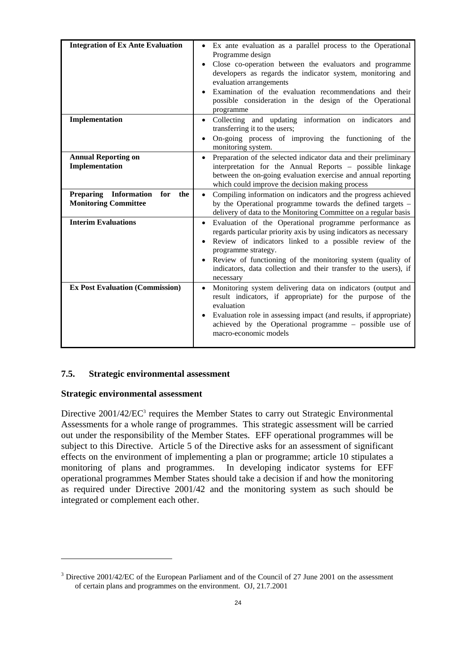| <b>Integration of Ex Ante Evaluation</b>             | • Ex ante evaluation as a parallel process to the Operational                                                                                                                |
|------------------------------------------------------|------------------------------------------------------------------------------------------------------------------------------------------------------------------------------|
|                                                      | Programme design                                                                                                                                                             |
|                                                      | Close co-operation between the evaluators and programme<br>developers as regards the indicator system, monitoring and<br>evaluation arrangements                             |
|                                                      | Examination of the evaluation recommendations and their<br>possible consideration in the design of the Operational<br>programme                                              |
| Implementation                                       | • Collecting and updating information on indicators<br>and<br>transferring it to the users;                                                                                  |
|                                                      | On-going process of improving the functioning of the<br>monitoring system.                                                                                                   |
| <b>Annual Reporting on</b>                           | Preparation of the selected indicator data and their preliminary                                                                                                             |
| Implementation                                       | interpretation for the Annual Reports - possible linkage<br>between the on-going evaluation exercise and annual reporting<br>which could improve the decision making process |
| <b>Preparing</b><br><b>Information</b><br>for<br>the | Compiling information on indicators and the progress achieved                                                                                                                |
| <b>Monitoring Committee</b>                          | by the Operational programme towards the defined targets -<br>delivery of data to the Monitoring Committee on a regular basis                                                |
| <b>Interim Evaluations</b>                           | Evaluation of the Operational programme performance as                                                                                                                       |
|                                                      | regards particular priority axis by using indicators as necessary<br>Review of indicators linked to a possible review of the                                                 |
|                                                      | programme strategy.                                                                                                                                                          |
|                                                      | Review of functioning of the monitoring system (quality of                                                                                                                   |
|                                                      | indicators, data collection and their transfer to the users), if<br>necessary                                                                                                |
| <b>Ex Post Evaluation (Commission)</b>               | Monitoring system delivering data on indicators (output and<br>$\bullet$<br>result indicators, if appropriate) for the purpose of the<br>evaluation                          |
|                                                      | Evaluation role in assessing impact (and results, if appropriate)<br>achieved by the Operational programme - possible use of<br>macro-economic models                        |

### **7.5. Strategic environmental assessment**

#### **Strategic environmental assessment**

 $\overline{a}$ 

Directive 2001/42/EC<sup>3</sup> requires the Member States to carry out Strategic Environmental Assessments for a whole range of programmes. This strategic assessment will be carried out under the responsibility of the Member States. EFF operational programmes will be subject to this Directive. Article 5 of the Directive asks for an assessment of significant effects on the environment of implementing a plan or programme; article 10 stipulates a monitoring of plans and programmes. In developing indicator systems for EFF operational programmes Member States should take a decision if and how the monitoring as required under Directive 2001/42 and the monitoring system as such should be integrated or complement each other.

<sup>&</sup>lt;sup>3</sup> Directive 2001/42/EC of the European Parliament and of the Council of 27 June 2001 on the assessment of certain plans and programmes on the environment. OJ, 21.7.2001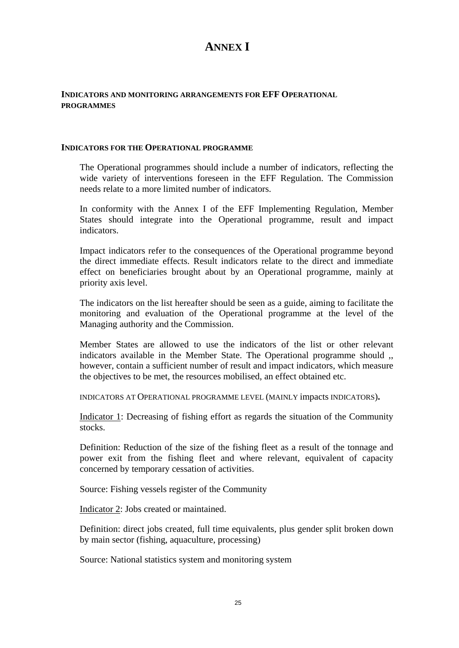# **ANNEX I**

#### **INDICATORS AND MONITORING ARRANGEMENTS FOR EFF OPERATIONAL PROGRAMMES**

#### **INDICATORS FOR THE OPERATIONAL PROGRAMME**

The Operational programmes should include a number of indicators, reflecting the wide variety of interventions foreseen in the EFF Regulation. The Commission needs relate to a more limited number of indicators.

In conformity with the Annex I of the EFF Implementing Regulation, Member States should integrate into the Operational programme, result and impact indicators.

Impact indicators refer to the consequences of the Operational programme beyond the direct immediate effects. Result indicators relate to the direct and immediate effect on beneficiaries brought about by an Operational programme, mainly at priority axis level.

The indicators on the list hereafter should be seen as a guide, aiming to facilitate the monitoring and evaluation of the Operational programme at the level of the Managing authority and the Commission.

Member States are allowed to use the indicators of the list or other relevant indicators available in the Member State. The Operational programme should ,, however, contain a sufficient number of result and impact indicators, which measure the objectives to be met, the resources mobilised, an effect obtained etc.

INDICATORS AT OPERATIONAL PROGRAMME LEVEL (MAINLY impacts INDICATORS)**.** 

Indicator 1: Decreasing of fishing effort as regards the situation of the Community stocks.

Definition: Reduction of the size of the fishing fleet as a result of the tonnage and power exit from the fishing fleet and where relevant, equivalent of capacity concerned by temporary cessation of activities.

Source: Fishing vessels register of the Community

Indicator 2: Jobs created or maintained.

Definition: direct jobs created, full time equivalents, plus gender split broken down by main sector (fishing, aquaculture, processing)

Source: National statistics system and monitoring system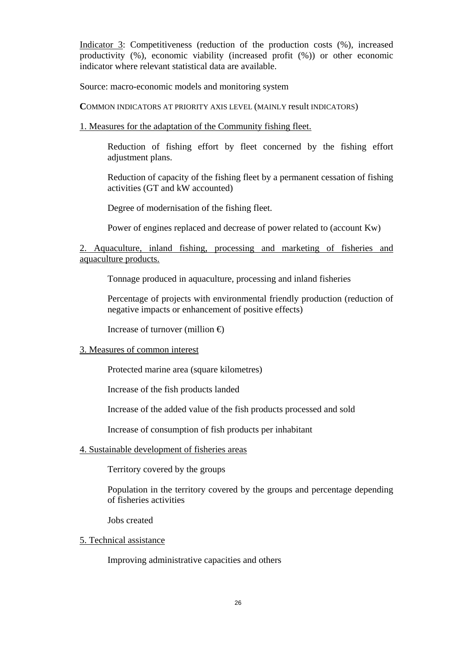Indicator 3: Competitiveness (reduction of the production costs (%), increased productivity (%), economic viability (increased profit (%)) or other economic indicator where relevant statistical data are available.

Source: macro-economic models and monitoring system

**C**OMMON INDICATORS AT PRIORITY AXIS LEVEL (MAINLY result INDICATORS)

1. Measures for the adaptation of the Community fishing fleet.

Reduction of fishing effort by fleet concerned by the fishing effort adjustment plans.

Reduction of capacity of the fishing fleet by a permanent cessation of fishing activities (GT and kW accounted)

Degree of modernisation of the fishing fleet.

Power of engines replaced and decrease of power related to (account Kw)

### 2. Aquaculture, inland fishing, processing and marketing of fisheries and aquaculture products.

Tonnage produced in aquaculture, processing and inland fisheries

Percentage of projects with environmental friendly production (reduction of negative impacts or enhancement of positive effects)

Increase of turnover (million  $\oplus$ 

#### 3. Measures of common interest

Protected marine area (square kilometres)

Increase of the fish products landed

Increase of the added value of the fish products processed and sold

Increase of consumption of fish products per inhabitant

#### 4. Sustainable development of fisheries areas

Territory covered by the groups

Population in the territory covered by the groups and percentage depending of fisheries activities

Jobs created

#### 5. Technical assistance

Improving administrative capacities and others